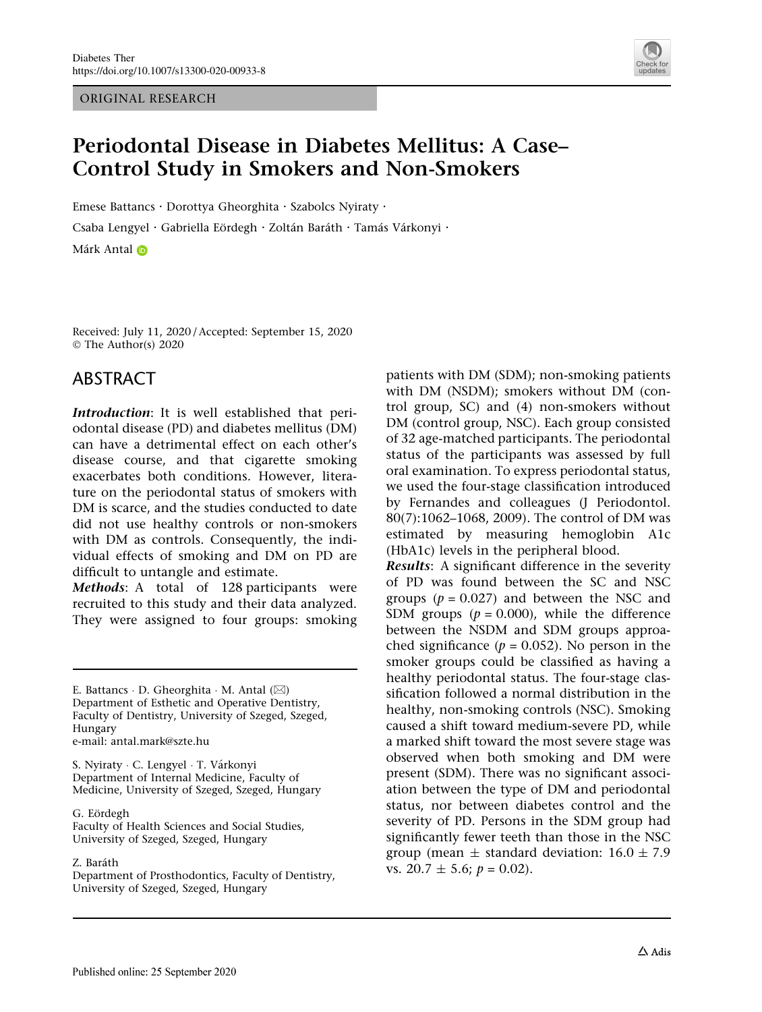ORIGINAL RESEARCH



# Periodontal Disease in Diabetes Mellitus: A Case– Control Study in Smokers and Non-Smokers

Emese Battancs · Dorottya Gheorghita · Szabolcs Nyiraty ·

Csaba Lengyel · Gabriella Eördegh · Zoltán Baráth · Tamás Várkonyi ·

Márk Anta[l](http://orcid.org/0000-0002-4109-9356)

Received: July 11, 2020 / Accepted: September 15, 2020 © The Author(s) 2020

## ABSTRACT

Introduction: It is well established that periodontal disease (PD) and diabetes mellitus (DM) can have a detrimental effect on each other's disease course, and that cigarette smoking exacerbates both conditions. However, literature on the periodontal status of smokers with DM is scarce, and the studies conducted to date did not use healthy controls or non-smokers with DM as controls. Consequently, the individual effects of smoking and DM on PD are difficult to untangle and estimate.

Methods: A total of 128 participants were recruited to this study and their data analyzed. They were assigned to four groups: smoking

E. Battancs · D. Gheorghita · M. Antal (⊠) Department of Esthetic and Operative Dentistry, Faculty of Dentistry, University of Szeged, Szeged, Hungary e-mail: antal.mark@szte.hu

S. Nyiraty · C. Lengyel · T. Várkonyi Department of Internal Medicine, Faculty of Medicine, University of Szeged, Szeged, Hungary

G. Eördegh

Faculty of Health Sciences and Social Studies, University of Szeged, Szeged, Hungary

#### Z. Baráth

Department of Prosthodontics, Faculty of Dentistry, University of Szeged, Szeged, Hungary

patients with DM (SDM); non-smoking patients with DM (NSDM); smokers without DM (control group, SC) and (4) non-smokers without DM (control group, NSC). Each group consisted of 32 age-matched participants. The periodontal status of the participants was assessed by full oral examination. To express periodontal status, we used the four-stage classification introduced by Fernandes and colleagues (J Periodontol. 80(7):1062–1068, 2009). The control of DM was estimated by measuring hemoglobin A1c (HbA1c) levels in the peripheral blood.

Results: A significant difference in the severity of PD was found between the SC and NSC groups ( $p = 0.027$ ) and between the NSC and SDM groups ( $p = 0.000$ ), while the difference between the NSDM and SDM groups approached significance ( $p = 0.052$ ). No person in the smoker groups could be classified as having a healthy periodontal status. The four-stage classification followed a normal distribution in the healthy, non-smoking controls (NSC). Smoking caused a shift toward medium-severe PD, while a marked shift toward the most severe stage was observed when both smoking and DM were present (SDM). There was no significant association between the type of DM and periodontal status, nor between diabetes control and the severity of PD. Persons in the SDM group had significantly fewer teeth than those in the NSC group (mean  $\pm$  standard deviation: 16.0  $\pm$  7.9 vs.  $20.7 \pm 5.6$ ;  $p = 0.02$ ).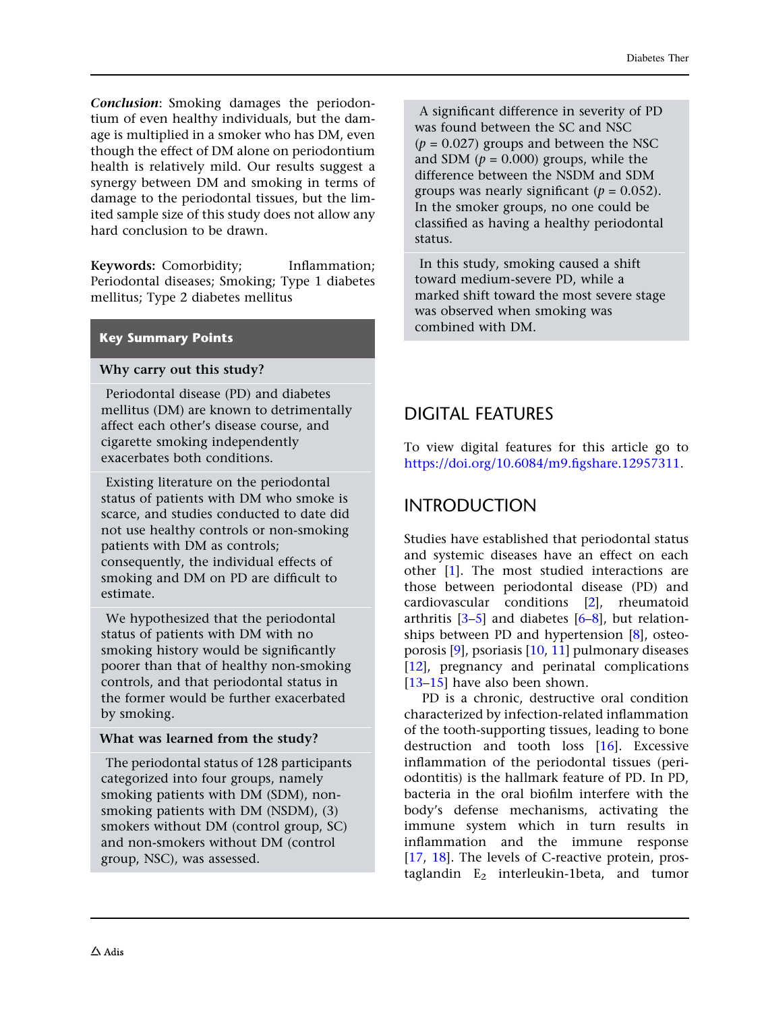Conclusion: Smoking damages the periodontium of even healthy individuals, but the damage is multiplied in a smoker who has DM, even though the effect of DM alone on periodontium health is relatively mild. Our results suggest a synergy between DM and smoking in terms of damage to the periodontal tissues, but the limited sample size of this study does not allow any hard conclusion to be drawn.

Keywords: Comorbidity; Inflammation; Periodontal diseases; Smoking; Type 1 diabetes mellitus; Type 2 diabetes mellitus

### Key Summary Points

### Why carry out this study?

Periodontal disease (PD) and diabetes mellitus (DM) are known to detrimentally affect each other's disease course, and cigarette smoking independently exacerbates both conditions.

Existing literature on the periodontal status of patients with DM who smoke is scarce, and studies conducted to date did not use healthy controls or non-smoking patients with DM as controls; consequently, the individual effects of smoking and DM on PD are difficult to estimate.

We hypothesized that the periodontal status of patients with DM with no smoking history would be significantly poorer than that of healthy non-smoking controls, and that periodontal status in the former would be further exacerbated by smoking.

### What was learned from the study?

The periodontal status of 128 participants categorized into four groups, namely smoking patients with DM (SDM), nonsmoking patients with DM (NSDM), (3) smokers without DM (control group, SC) and non-smokers without DM (control group, NSC), was assessed.

A significant difference in severity of PD was found between the SC and NSC  $(p = 0.027)$  groups and between the NSC and SDM ( $p = 0.000$ ) groups, while the difference between the NSDM and SDM groups was nearly significant ( $p = 0.052$ ). In the smoker groups, no one could be classified as having a healthy periodontal status.

In this study, smoking caused a shift toward medium-severe PD, while a marked shift toward the most severe stage was observed when smoking was combined with DM.

## DIGITAL FEATURES

To view digital features for this article go to [https://doi.org/10.6084/m9.figshare.12957311.](https://doi.org/10.6084/m9.figshare.12957311)

## INTRODUCTION

Studies have established that periodontal status and systemic diseases have an effect on each other [[1](#page-10-0)]. The most studied interactions are those between periodontal disease (PD) and cardiovascular conditions [[2\]](#page-10-0), rheumatoid arthritis [[3–5](#page-10-0)] and diabetes [\[6–8](#page-10-0)], but relationships between PD and hypertension [[8](#page-10-0)], osteoporosis [[9](#page-11-0)], psoriasis [\[10,](#page-11-0) [11](#page-11-0)] pulmonary diseases [\[12\]](#page-11-0), pregnancy and perinatal complications [\[13–15](#page-11-0)] have also been shown.

PD is a chronic, destructive oral condition characterized by infection-related inflammation of the tooth-supporting tissues, leading to bone destruction and tooth loss [[16](#page-11-0)]. Excessive inflammation of the periodontal tissues (periodontitis) is the hallmark feature of PD. In PD, bacteria in the oral biofilm interfere with the body's defense mechanisms, activating the immune system which in turn results in inflammation and the immune response [\[17,](#page-11-0) [18](#page-11-0)]. The levels of C-reactive protein, prostaglandin  $E_2$  interleukin-1beta, and tumor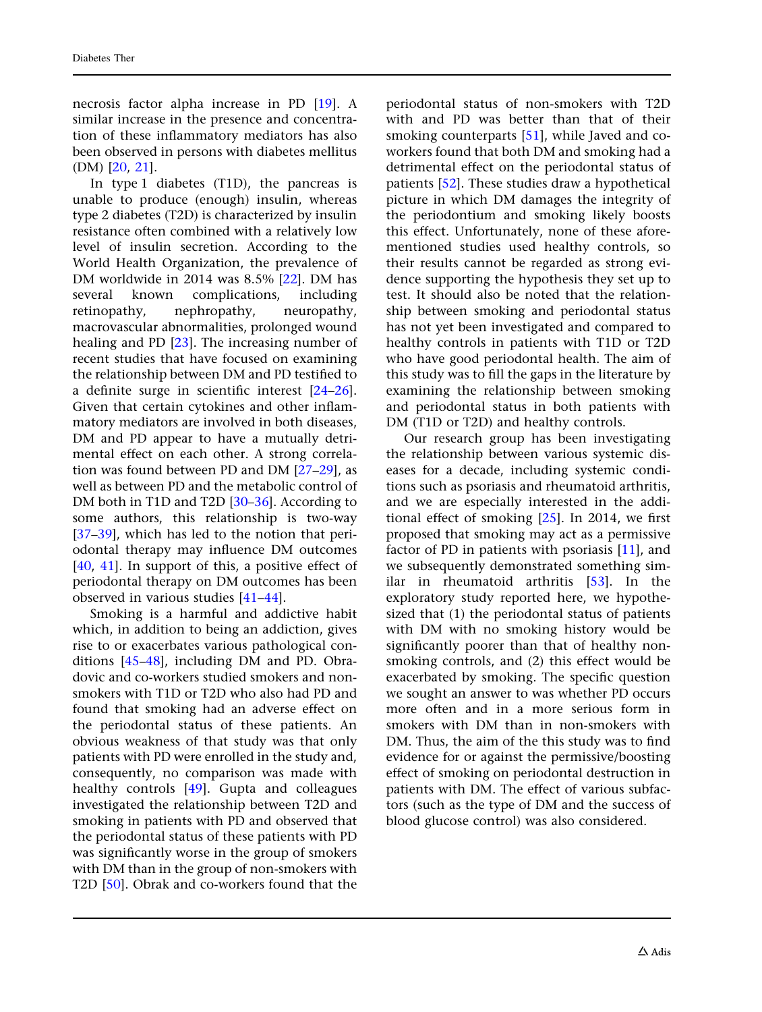necrosis factor alpha increase in PD [\[19\]](#page-11-0). A similar increase in the presence and concentration of these inflammatory mediators has also been observed in persons with diabetes mellitus (DM) [[20](#page-11-0), [21\]](#page-11-0).

In type 1 diabetes (T1D), the pancreas is unable to produce (enough) insulin, whereas type 2 diabetes (T2D) is characterized by insulin resistance often combined with a relatively low level of insulin secretion. According to the World Health Organization, the prevalence of DM worldwide in 2014 was 8.5% [\[22\]](#page-11-0). DM has several known complications, including retinopathy, nephropathy, neuropathy, macrovascular abnormalities, prolonged wound healing and PD [\[23\]](#page-11-0). The increasing number of recent studies that have focused on examining the relationship between DM and PD testified to a definite surge in scientific interest [\[24–26\]](#page-11-0). Given that certain cytokines and other inflammatory mediators are involved in both diseases, DM and PD appear to have a mutually detrimental effect on each other. A strong correlation was found between PD and DM [[27–29\]](#page-11-0), as well as between PD and the metabolic control of DM both in T1D and T2D [\[30–](#page-11-0)[36](#page-12-0)]. According to some authors, this relationship is two-way [\[37–39\]](#page-12-0), which has led to the notion that periodontal therapy may influence DM outcomes [\[40](#page-12-0), [41\]](#page-12-0). In support of this, a positive effect of periodontal therapy on DM outcomes has been observed in various studies [[41–44\]](#page-12-0).

Smoking is a harmful and addictive habit which, in addition to being an addiction, gives rise to or exacerbates various pathological conditions [[45–48](#page-12-0)], including DM and PD. Obradovic and co-workers studied smokers and nonsmokers with T1D or T2D who also had PD and found that smoking had an adverse effect on the periodontal status of these patients. An obvious weakness of that study was that only patients with PD were enrolled in the study and, consequently, no comparison was made with healthy controls [\[49\]](#page-12-0). Gupta and colleagues investigated the relationship between T2D and smoking in patients with PD and observed that the periodontal status of these patients with PD was significantly worse in the group of smokers with DM than in the group of non-smokers with T2D [[50](#page-12-0)]. Obrak and co-workers found that the periodontal status of non-smokers with T2D with and PD was better than that of their smoking counterparts [[51](#page-12-0)], while Javed and coworkers found that both DM and smoking had a detrimental effect on the periodontal status of patients [[52\]](#page-12-0). These studies draw a hypothetical picture in which DM damages the integrity of the periodontium and smoking likely boosts this effect. Unfortunately, none of these aforementioned studies used healthy controls, so their results cannot be regarded as strong evidence supporting the hypothesis they set up to test. It should also be noted that the relationship between smoking and periodontal status has not yet been investigated and compared to healthy controls in patients with T1D or T2D who have good periodontal health. The aim of this study was to fill the gaps in the literature by examining the relationship between smoking and periodontal status in both patients with DM (T1D or T2D) and healthy controls.

Our research group has been investigating the relationship between various systemic diseases for a decade, including systemic conditions such as psoriasis and rheumatoid arthritis, and we are especially interested in the additional effect of smoking [[25](#page-11-0)]. In 2014, we first proposed that smoking may act as a permissive factor of PD in patients with psoriasis [[11](#page-11-0)], and we subsequently demonstrated something similar in rheumatoid arthritis [[53](#page-12-0)]. In the exploratory study reported here, we hypothesized that (1) the periodontal status of patients with DM with no smoking history would be significantly poorer than that of healthy nonsmoking controls, and (2) this effect would be exacerbated by smoking. The specific question we sought an answer to was whether PD occurs more often and in a more serious form in smokers with DM than in non-smokers with DM. Thus, the aim of the this study was to find evidence for or against the permissive/boosting effect of smoking on periodontal destruction in patients with DM. The effect of various subfactors (such as the type of DM and the success of blood glucose control) was also considered.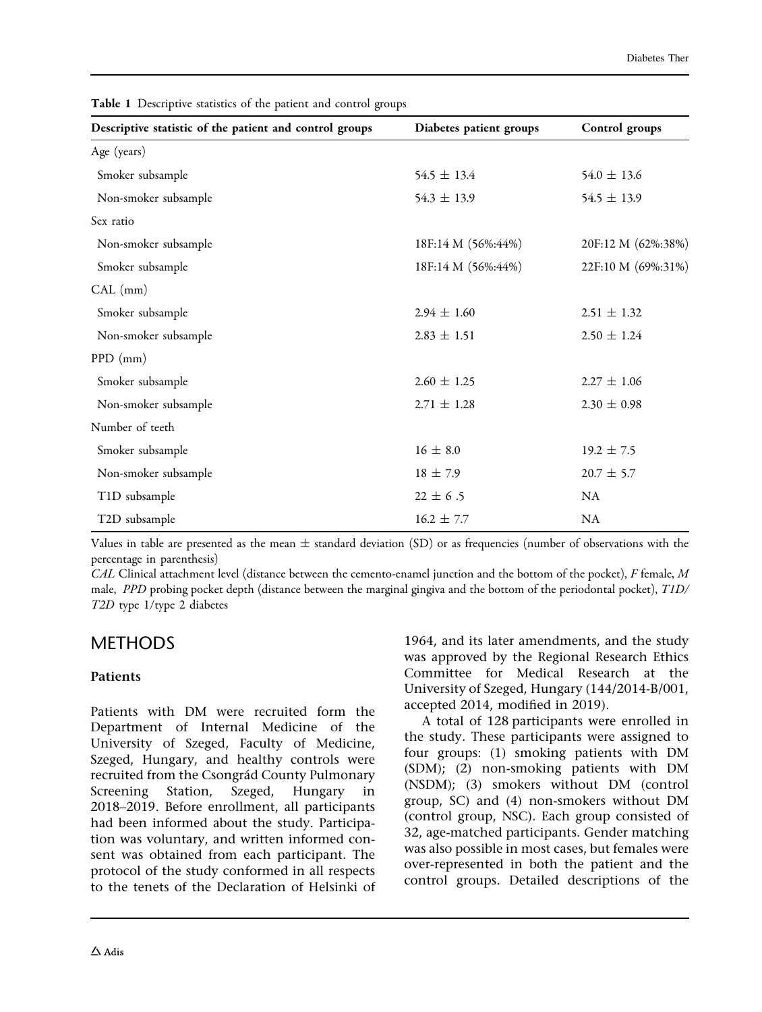| Descriptive statistic of the patient and control groups | Diabetes patient groups | Control groups     |  |
|---------------------------------------------------------|-------------------------|--------------------|--|
| Age (years)                                             |                         |                    |  |
| Smoker subsample                                        | $54.5 \pm 13.4$         | $54.0 \pm 13.6$    |  |
| Non-smoker subsample                                    | $54.3 \pm 13.9$         | $54.5 \pm 13.9$    |  |
| Sex ratio                                               |                         |                    |  |
| Non-smoker subsample                                    | 18F:14 M (56%:44%)      | 20F:12 M (62%:38%) |  |
| Smoker subsample                                        | 18F:14 M (56%:44%)      | 22F:10 M (69%:31%) |  |
| CAL (mm)                                                |                         |                    |  |
| Smoker subsample                                        | $2.94 \pm 1.60$         | $2.51 \pm 1.32$    |  |
| Non-smoker subsample                                    | $2.83 \pm 1.51$         | $2.50 \pm 1.24$    |  |
| $PPD$ (mm)                                              |                         |                    |  |
| Smoker subsample                                        | $2.60 \pm 1.25$         | $2.27 \pm 1.06$    |  |
| Non-smoker subsample                                    | $2.71 \pm 1.28$         | $2.30 \pm 0.98$    |  |
| Number of teeth                                         |                         |                    |  |
| Smoker subsample                                        | $16 \pm 8.0$            | $19.2 \pm 7.5$     |  |
| Non-smoker subsample                                    | $18 \pm 7.9$            | $20.7 \pm 5.7$     |  |
| T1D subsample                                           | $22 \pm 6.5$            | <b>NA</b>          |  |
| T2D subsample                                           | $16.2 \pm 7.7$          | NA                 |  |

<span id="page-3-0"></span>Table 1 Descriptive statistics of the patient and control groups

Values in table are presented as the mean  $\pm$  standard deviation (SD) or as frequencies (number of observations with the percentage in parenthesis)

 $CAL$  Clinical attachment level (distance between the cemento-enamel junction and the bottom of the pocket),  $F$  female,  $M$ male, PPD probing pocket depth (distance between the marginal gingiva and the bottom of the periodontal pocket), T1D/ T2D type 1/type 2 diabetes

## METHODS

### Patients

Patients with DM were recruited form the Department of Internal Medicine of the University of Szeged, Faculty of Medicine, Szeged, Hungary, and healthy controls were recruited from the Csongrád County Pulmonary Screening Station, Szeged, Hungary in 2018–2019. Before enrollment, all participants had been informed about the study. Participation was voluntary, and written informed consent was obtained from each participant. The protocol of the study conformed in all respects to the tenets of the Declaration of Helsinki of 1964, and its later amendments, and the study was approved by the Regional Research Ethics Committee for Medical Research at the University of Szeged, Hungary (144/2014-B/001, accepted 2014, modified in 2019).

A total of 128 participants were enrolled in the study. These participants were assigned to four groups: (1) smoking patients with DM (SDM); (2) non-smoking patients with DM (NSDM); (3) smokers without DM (control group, SC) and (4) non-smokers without DM (control group, NSC). Each group consisted of 32, age-matched participants. Gender matching was also possible in most cases, but females were over-represented in both the patient and the control groups. Detailed descriptions of the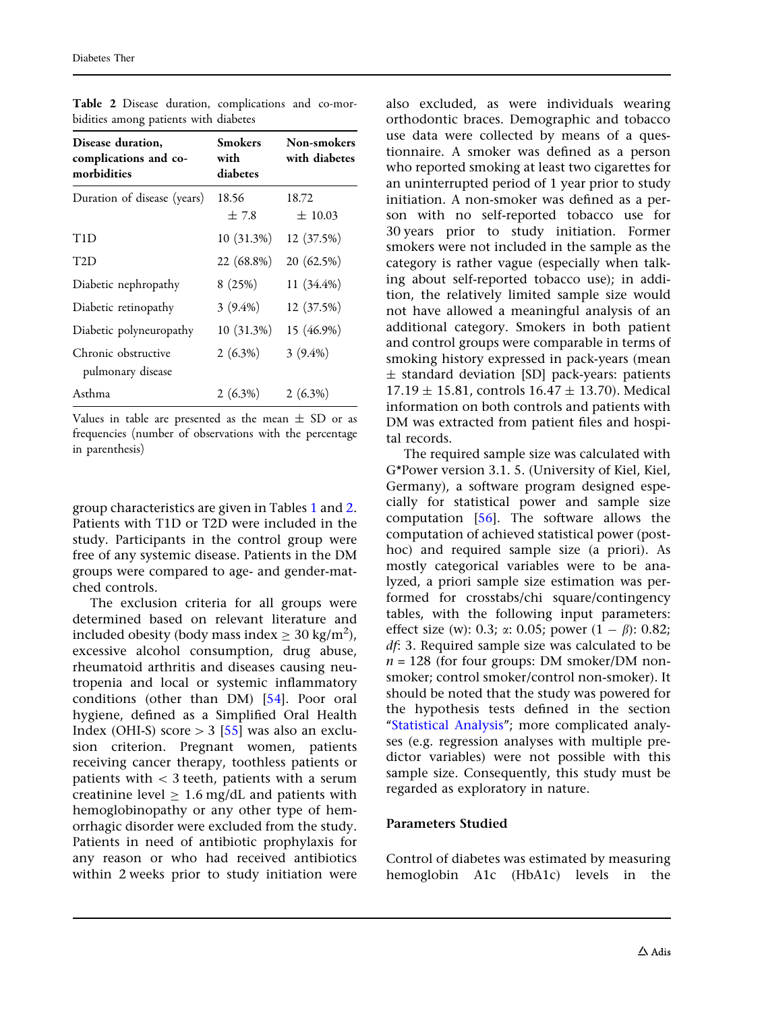| Disease duration,<br>complications and co-<br>morbidities | Smokers<br>with<br>diabetes | Non-smokers<br>with diabetes |
|-----------------------------------------------------------|-----------------------------|------------------------------|
| Duration of disease (years)                               | 18.56<br>±7.8               | 18.72<br>$\pm 10.03$         |
| T1D                                                       | 10 (31.3%)                  | 12 (37.5%)                   |
| T2D                                                       | 22 (68.8%)                  | 20 (62.5%)                   |
| Diabetic nephropathy                                      | 8(25%)                      | 11 (34.4%)                   |
| Diabetic retinopathy                                      | $3(9.4\%)$                  | 12 (37.5%)                   |
| Diabetic polyneuropathy                                   | 10 (31.3%)                  | 15 (46.9%)                   |
| Chronic obstructive<br>pulmonary disease                  | $2(6.3\%)$                  | $3(9.4\%)$                   |
| Asthma                                                    | $2(6.3\%)$                  | $2(6.3\%)$                   |

Table 2 Disease duration, complications and co-morbidities among patients with diabetes

Values in table are presented as the mean  $\pm$  SD or as frequencies (number of observations with the percentage in parenthesis)

group characteristics are given in Tables [1](#page-3-0) and 2. Patients with T1D or T2D were included in the study. Participants in the control group were free of any systemic disease. Patients in the DM groups were compared to age- and gender-matched controls.

The exclusion criteria for all groups were determined based on relevant literature and included obesity (body mass index  $\geq 30$  kg/m<sup>2</sup>), excessive alcohol consumption, drug abuse, rheumatoid arthritis and diseases causing neutropenia and local or systemic inflammatory conditions (other than DM) [[54\]](#page-12-0). Poor oral hygiene, defined as a Simplified Oral Health Index (OHI-S) score  $> 3$  [\[55\]](#page-12-0) was also an exclusion criterion. Pregnant women, patients receiving cancer therapy, toothless patients or patients with  $<$  3 teeth, patients with a serum creatinine level  $\geq 1.6$  mg/dL and patients with hemoglobinopathy or any other type of hemorrhagic disorder were excluded from the study. Patients in need of antibiotic prophylaxis for any reason or who had received antibiotics within 2 weeks prior to study initiation were also excluded, as were individuals wearing orthodontic braces. Demographic and tobacco use data were collected by means of a questionnaire. A smoker was defined as a person who reported smoking at least two cigarettes for an uninterrupted period of 1 year prior to study initiation. A non-smoker was defined as a person with no self-reported tobacco use for 30 years prior to study initiation. Former smokers were not included in the sample as the category is rather vague (especially when talking about self-reported tobacco use); in addition, the relatively limited sample size would not have allowed a meaningful analysis of an additional category. Smokers in both patient and control groups were comparable in terms of smoking history expressed in pack-years (mean ± standard deviation [SD] pack-years: patients  $17.19 \pm 15.81$ , controls  $16.47 \pm 13.70$ ). Medical information on both controls and patients with DM was extracted from patient files and hospital records.

The required sample size was calculated with G\*Power version 3.1. 5. (University of Kiel, Kiel, Germany), a software program designed especially for statistical power and sample size computation [[56](#page-12-0)]. The software allows the computation of achieved statistical power (posthoc) and required sample size (a priori). As mostly categorical variables were to be analyzed, a priori sample size estimation was performed for crosstabs/chi square/contingency tables, with the following input parameters: effect size (w): 0.3;  $\alpha$ : 0.05; power (1 –  $\beta$ ): 0.82; df: 3. Required sample size was calculated to be  $n = 128$  (for four groups: DM smoker/DM nonsmoker; control smoker/control non-smoker). It should be noted that the study was powered for the hypothesis tests defined in the section "Statistical Analysis"; more complicated analyses (e.g. regression analyses with multiple predictor variables) were not possible with this sample size. Consequently, this study must be regarded as exploratory in nature.

#### Parameters Studied

Control of diabetes was estimated by measuring hemoglobin A1c (HbA1c) levels in the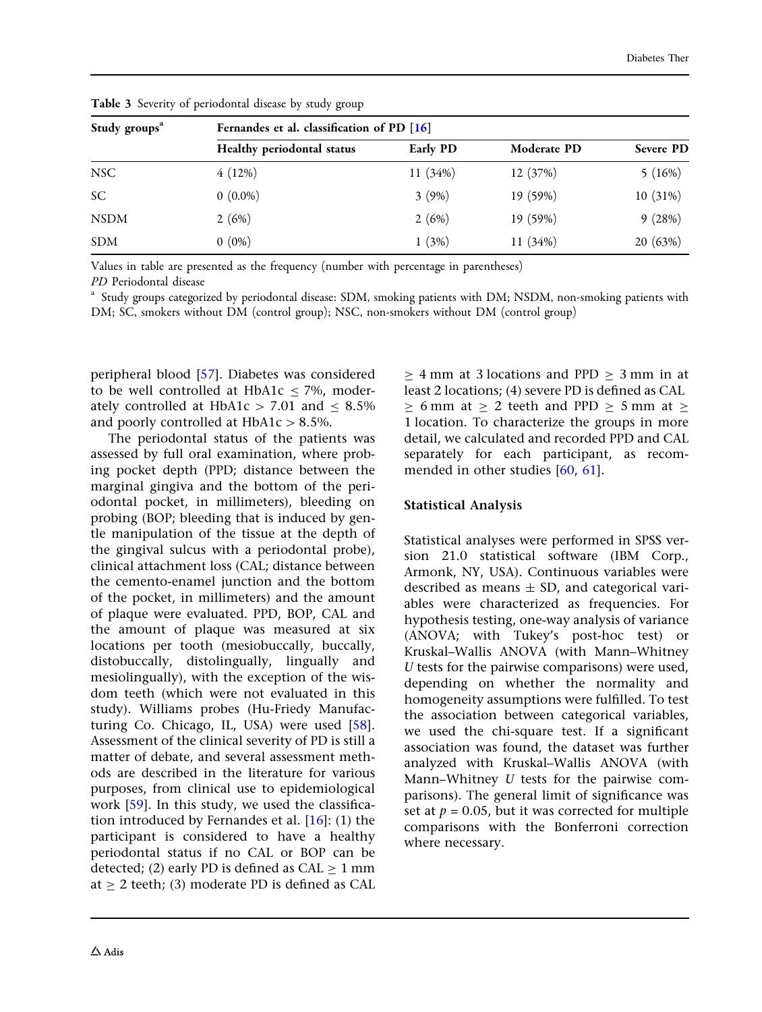| Study groups <sup>a</sup> | Fernandes et al. classification of PD [16] |          |             |           |  |  |  |
|---------------------------|--------------------------------------------|----------|-------------|-----------|--|--|--|
|                           | Healthy periodontal status                 | Early PD | Moderate PD | Severe PD |  |  |  |
| <b>NSC</b>                | 4(12%)                                     | 11(34%)  | 12 (37%)    | 5(16%)    |  |  |  |
| SC                        | $0(0.0\%)$                                 | 3(9%)    | 19 (59%)    | 10(31%)   |  |  |  |
| <b>NSDM</b>               | 2(6%)                                      | 2(6%)    | 19 (59%)    | 9(28%)    |  |  |  |
| <b>SDM</b>                | $0(0\%)$                                   | 1(3%)    | 11(34%)     | 20 (63%)  |  |  |  |

<span id="page-5-0"></span>Table 3 Severity of periodontal disease by study group

Values in table are presented as the frequency (number with percentage in parentheses)

PD Periodontal disease<br><sup>a</sup> Study groups categorized by periodontal disease: SDM, smoking patients with DM; NSDM, non-smoking patients with DM; SC, smokers without DM (control group); NSC, non-smokers without DM (control group)

peripheral blood [[57](#page-13-0)]. Diabetes was considered to be well controlled at HbA1c  $<$  7%, moderately controlled at HbA1c  $> 7.01$  and  $< 8.5\%$ and poorly controlled at  $HbA1c > 8.5%$ .

The periodontal status of the patients was assessed by full oral examination, where probing pocket depth (PPD; distance between the marginal gingiva and the bottom of the periodontal pocket, in millimeters), bleeding on probing (BOP; bleeding that is induced by gentle manipulation of the tissue at the depth of the gingival sulcus with a periodontal probe), clinical attachment loss (CAL; distance between the cemento-enamel junction and the bottom of the pocket, in millimeters) and the amount of plaque were evaluated. PPD, BOP, CAL and the amount of plaque was measured at six locations per tooth (mesiobuccally, buccally, distobuccally, distolingually, lingually and mesiolingually), with the exception of the wisdom teeth (which were not evaluated in this study). Williams probes (Hu-Friedy Manufacturing Co. Chicago, IL, USA) were used  $[58]$  $[58]$  $[58]$ . Assessment of the clinical severity of PD is still a matter of debate, and several assessment methods are described in the literature for various purposes, from clinical use to epidemiological work [\[59](#page-13-0)]. In this study, we used the classification introduced by Fernandes et al.  $[16]$  $[16]$ : (1) the participant is considered to have a healthy periodontal status if no CAL or BOP can be detected; (2) early PD is defined as  $CAL > 1$  mm at  $\geq$  2 teeth; (3) moderate PD is defined as CAL

 $\geq$  4 mm at 3 locations and PPD  $\geq$  3 mm in at least 2 locations; (4) severe PD is defined as CAL  $\geq$  6 mm at  $\geq$  2 teeth and PPD  $\geq$  5 mm at  $\geq$ 1 location. To characterize the groups in more detail, we calculated and recorded PPD and CAL separately for each participant, as recommended in other studies [[60](#page-13-0), [61\]](#page-13-0).

### Statistical Analysis

Statistical analyses were performed in SPSS version 21.0 statistical software (IBM Corp., Armonk, NY, USA). Continuous variables were described as means  $\pm$  SD, and categorical variables were characterized as frequencies. For hypothesis testing, one-way analysis of variance (ANOVA; with Tukey's post-hoc test) or Kruskal–Wallis ANOVA (with Mann–Whitney U tests for the pairwise comparisons) were used, depending on whether the normality and homogeneity assumptions were fulfilled. To test the association between categorical variables, we used the chi-square test. If a significant association was found, the dataset was further analyzed with Kruskal–Wallis ANOVA (with Mann–Whitney U tests for the pairwise comparisons). The general limit of significance was set at  $p = 0.05$ , but it was corrected for multiple comparisons with the Bonferroni correction where necessary.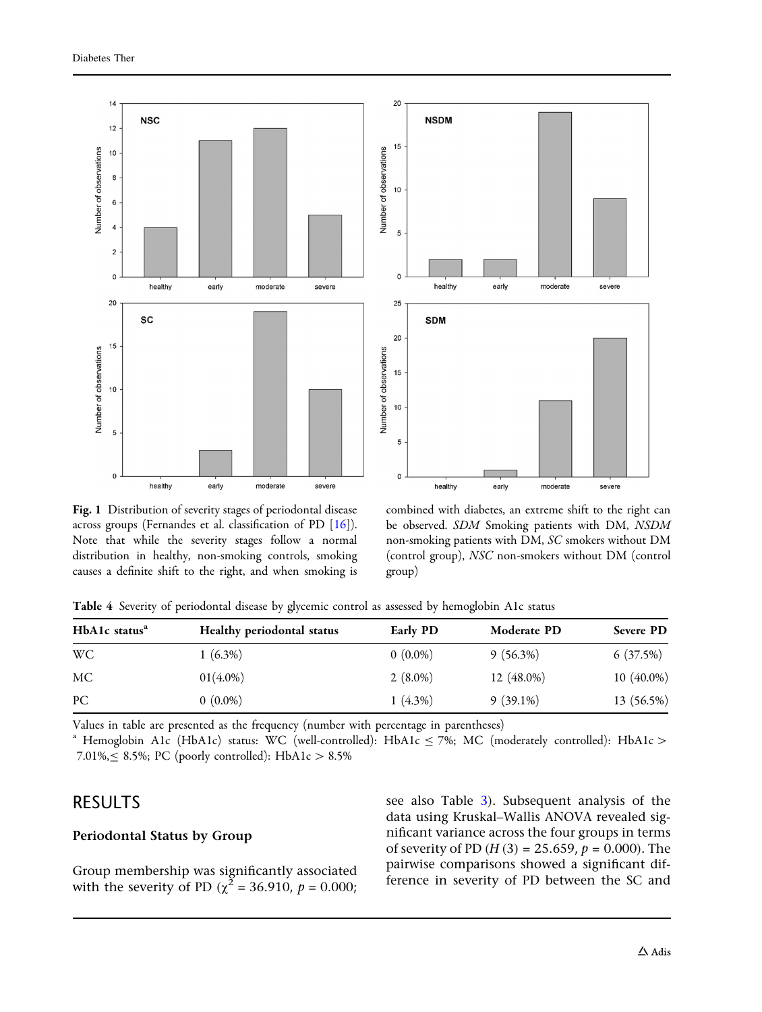<span id="page-6-0"></span>



Fig. 1 Distribution of severity stages of periodontal disease across groups (Fernandes et al. classification of PD [[16\]](#page-11-0)). Note that while the severity stages follow a normal distribution in healthy, non-smoking controls, smoking causes a definite shift to the right, and when smoking is

combined with diabetes, an extreme shift to the right can be observed. SDM Smoking patients with DM, NSDM non-smoking patients with DM, SC smokers without DM (control group), NSC non-smokers without DM (control group)

|  |  | Table 4 Severity of periodontal disease by glycemic control as assessed by hemoglobin A1c status |  |  |  |  |  |  |  |
|--|--|--------------------------------------------------------------------------------------------------|--|--|--|--|--|--|--|
|--|--|--------------------------------------------------------------------------------------------------|--|--|--|--|--|--|--|

| HbA1c status <sup>a</sup> | Healthy periodontal status | <b>Early PD</b> | Moderate PD | Severe PD  |
|---------------------------|----------------------------|-----------------|-------------|------------|
| WC                        | $(6.3\%)$                  | $0(0.0\%)$      | $9(56.3\%)$ | 6(37.5%)   |
| MC                        | $01(4.0\%)$                | $2(8.0\%)$      | 12 (48.0%)  | 10 (40.0%) |
| PC                        | $0(0.0\%)$                 | $1(4.3\%)$      | $9(39.1\%)$ | 13 (56.5%) |

Values in table are presented as the frequency (number with percentage in parentheses)

<sup>a</sup> Hemoglobin A1c (HbA1c) status: WC (well-controlled): HbA1c  $\leq$  7%; MC (moderately controlled): HbA1c  $>$ 7.01%, $\leq$  8.5%; PC (poorly controlled): HbA1c  $> 8.5$ %

## RESULTS

### Periodontal Status by Group

Group membership was significantly associated with the severity of PD ( $\chi^2$  = 36.910,  $p$  = 0.000; see also Table [3](#page-5-0)). Subsequent analysis of the data using Kruskal–Wallis ANOVA revealed significant variance across the four groups in terms of severity of PD ( $H(3) = 25.659$ ,  $p = 0.000$ ). The pairwise comparisons showed a significant difference in severity of PD between the SC and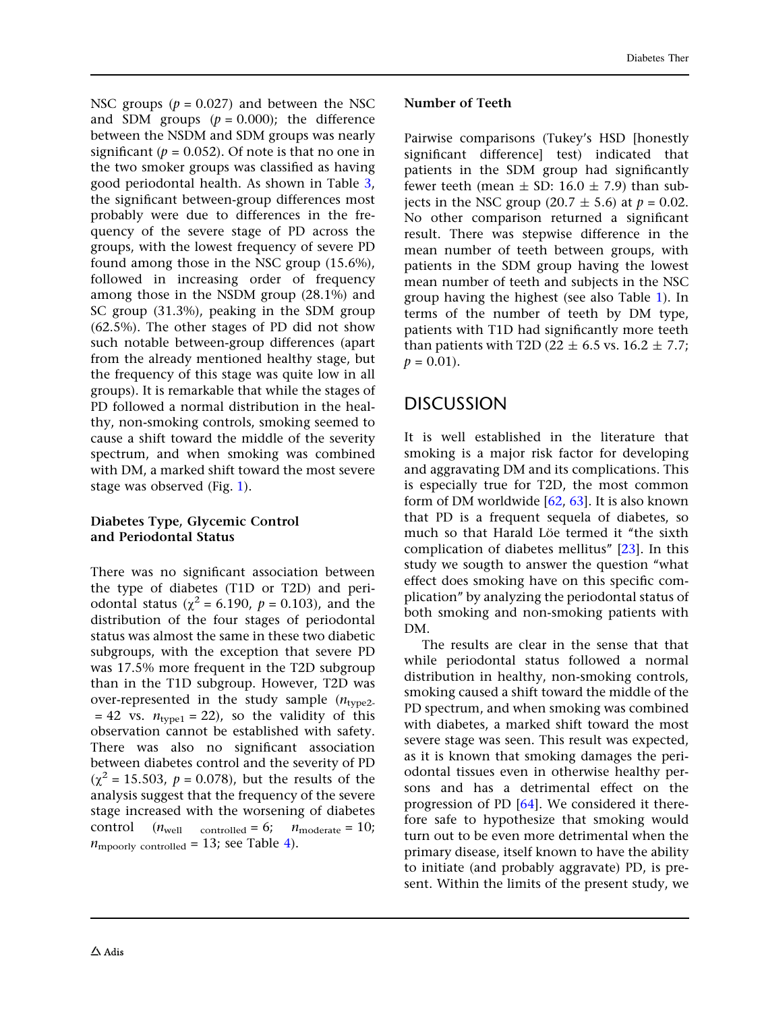NSC groups ( $p = 0.027$ ) and between the NSC and SDM groups  $(p = 0.000)$ ; the difference between the NSDM and SDM groups was nearly significant ( $p = 0.052$ ). Of note is that no one in the two smoker groups was classified as having good periodontal health. As shown in Table [3](#page-5-0), the significant between-group differences most probably were due to differences in the frequency of the severe stage of PD across the groups, with the lowest frequency of severe PD found among those in the NSC group (15.6%), followed in increasing order of frequency among those in the NSDM group (28.1%) and SC group (31.3%), peaking in the SDM group (62.5%). The other stages of PD did not show such notable between-group differences (apart from the already mentioned healthy stage, but the frequency of this stage was quite low in all groups). It is remarkable that while the stages of PD followed a normal distribution in the healthy, non-smoking controls, smoking seemed to cause a shift toward the middle of the severity spectrum, and when smoking was combined with DM, a marked shift toward the most severe stage was observed (Fig. [1\)](#page-6-0).

### Diabetes Type, Glycemic Control and Periodontal Status

There was no significant association between the type of diabetes (T1D or T2D) and periodontal status ( $\chi^2$  = 6.190,  $p$  = 0.103), and the distribution of the four stages of periodontal status was almost the same in these two diabetic subgroups, with the exception that severe PD was 17.5% more frequent in the T2D subgroup than in the T1D subgroup. However, T2D was over-represented in the study sample  $(n_{\text{true2}})$  $= 42$  vs.  $n_{\text{twoe1}} = 22$ , so the validity of this observation cannot be established with safety. There was also no significant association between diabetes control and the severity of PD  $(\chi^2 = 15.503, p = 0.078)$ , but the results of the analysis suggest that the frequency of the severe stage increased with the worsening of diabetes control  $(n_{well} \quad \text{controlled} = 6; \quad n_{moderate} = 10;$  $n_{\text{mpoorly controlled}} = 13$ ; see Table [4](#page-6-0)).

### Number of Teeth

Pairwise comparisons (Tukey's HSD [honestly significant difference] test) indicated that patients in the SDM group had significantly fewer teeth (mean  $\pm$  SD: 16.0  $\pm$  7.9) than subjects in the NSC group (20.7  $\pm$  5.6) at  $p = 0.02$ . No other comparison returned a significant result. There was stepwise difference in the mean number of teeth between groups, with patients in the SDM group having the lowest mean number of teeth and subjects in the NSC group having the highest (see also Table [1](#page-3-0)). In terms of the number of teeth by DM type, patients with T1D had significantly more teeth than patients with T2D (22  $\pm$  6.5 vs. 16.2  $\pm$  7.7;  $p = 0.01$ .

## DISCUSSION

It is well established in the literature that smoking is a major risk factor for developing and aggravating DM and its complications. This is especially true for T2D, the most common form of DM worldwide [\[62,](#page-13-0) [63\]](#page-13-0). It is also known that PD is a frequent sequela of diabetes, so much so that Harald Löe termed it "the sixth complication of diabetes mellitus'' [[23](#page-11-0)]. In this study we sougth to answer the question ''what effect does smoking have on this specific complication'' by analyzing the periodontal status of both smoking and non-smoking patients with DM.

The results are clear in the sense that that while periodontal status followed a normal distribution in healthy, non-smoking controls, smoking caused a shift toward the middle of the PD spectrum, and when smoking was combined with diabetes, a marked shift toward the most severe stage was seen. This result was expected, as it is known that smoking damages the periodontal tissues even in otherwise healthy persons and has a detrimental effect on the progression of PD [[64](#page-13-0)]. We considered it therefore safe to hypothesize that smoking would turn out to be even more detrimental when the primary disease, itself known to have the ability to initiate (and probably aggravate) PD, is present. Within the limits of the present study, we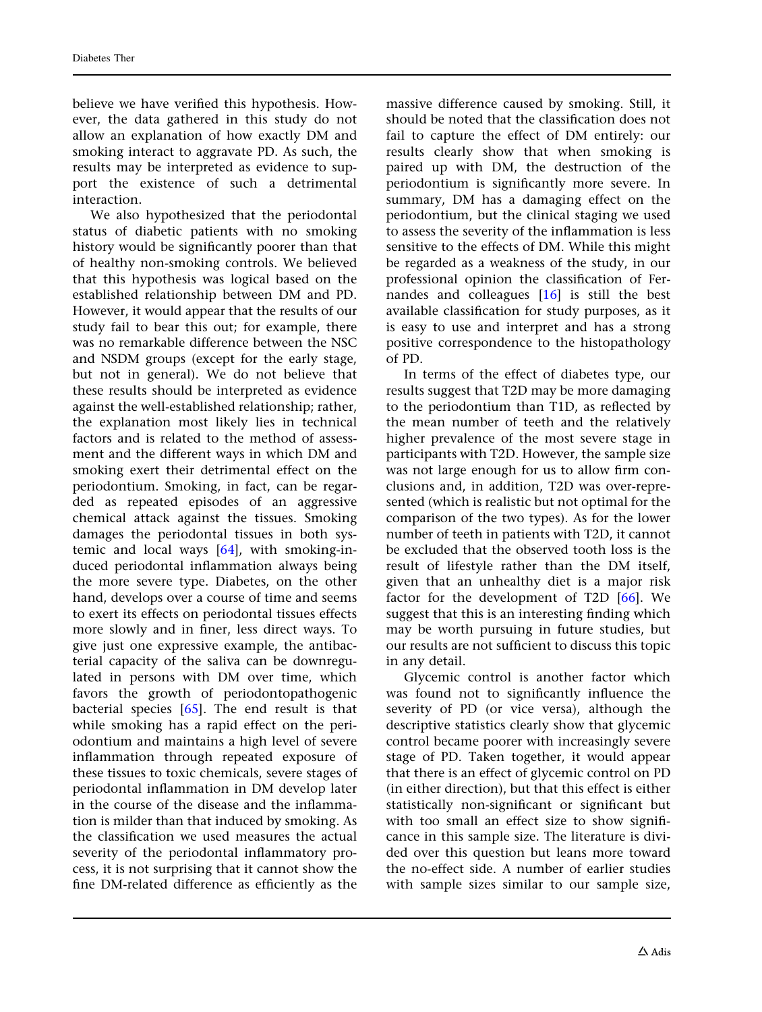believe we have verified this hypothesis. However, the data gathered in this study do not allow an explanation of how exactly DM and smoking interact to aggravate PD. As such, the results may be interpreted as evidence to support the existence of such a detrimental interaction.

We also hypothesized that the periodontal status of diabetic patients with no smoking history would be significantly poorer than that of healthy non-smoking controls. We believed that this hypothesis was logical based on the established relationship between DM and PD. However, it would appear that the results of our study fail to bear this out; for example, there was no remarkable difference between the NSC and NSDM groups (except for the early stage, but not in general). We do not believe that these results should be interpreted as evidence against the well-established relationship; rather, the explanation most likely lies in technical factors and is related to the method of assessment and the different ways in which DM and smoking exert their detrimental effect on the periodontium. Smoking, in fact, can be regarded as repeated episodes of an aggressive chemical attack against the tissues. Smoking damages the periodontal tissues in both systemic and local ways [\[64\]](#page-13-0), with smoking-induced periodontal inflammation always being the more severe type. Diabetes, on the other hand, develops over a course of time and seems to exert its effects on periodontal tissues effects more slowly and in finer, less direct ways. To give just one expressive example, the antibacterial capacity of the saliva can be downregulated in persons with DM over time, which favors the growth of periodontopathogenic bacterial species  $[65]$  $[65]$  $[65]$ . The end result is that while smoking has a rapid effect on the periodontium and maintains a high level of severe inflammation through repeated exposure of these tissues to toxic chemicals, severe stages of periodontal inflammation in DM develop later in the course of the disease and the inflammation is milder than that induced by smoking. As the classification we used measures the actual severity of the periodontal inflammatory process, it is not surprising that it cannot show the fine DM-related difference as efficiently as the

massive difference caused by smoking. Still, it should be noted that the classification does not fail to capture the effect of DM entirely: our results clearly show that when smoking is paired up with DM, the destruction of the periodontium is significantly more severe. In summary, DM has a damaging effect on the periodontium, but the clinical staging we used to assess the severity of the inflammation is less sensitive to the effects of DM. While this might be regarded as a weakness of the study, in our professional opinion the classification of Fernandes and colleagues [\[16\]](#page-11-0) is still the best available classification for study purposes, as it is easy to use and interpret and has a strong positive correspondence to the histopathology of PD.

In terms of the effect of diabetes type, our results suggest that T2D may be more damaging to the periodontium than T1D, as reflected by the mean number of teeth and the relatively higher prevalence of the most severe stage in participants with T2D. However, the sample size was not large enough for us to allow firm conclusions and, in addition, T2D was over-represented (which is realistic but not optimal for the comparison of the two types). As for the lower number of teeth in patients with T2D, it cannot be excluded that the observed tooth loss is the result of lifestyle rather than the DM itself, given that an unhealthy diet is a major risk factor for the development of T2D [[66\]](#page-13-0). We suggest that this is an interesting finding which may be worth pursuing in future studies, but our results are not sufficient to discuss this topic in any detail.

Glycemic control is another factor which was found not to significantly influence the severity of PD (or vice versa), although the descriptive statistics clearly show that glycemic control became poorer with increasingly severe stage of PD. Taken together, it would appear that there is an effect of glycemic control on PD (in either direction), but that this effect is either statistically non-significant or significant but with too small an effect size to show significance in this sample size. The literature is divided over this question but leans more toward the no-effect side. A number of earlier studies with sample sizes similar to our sample size,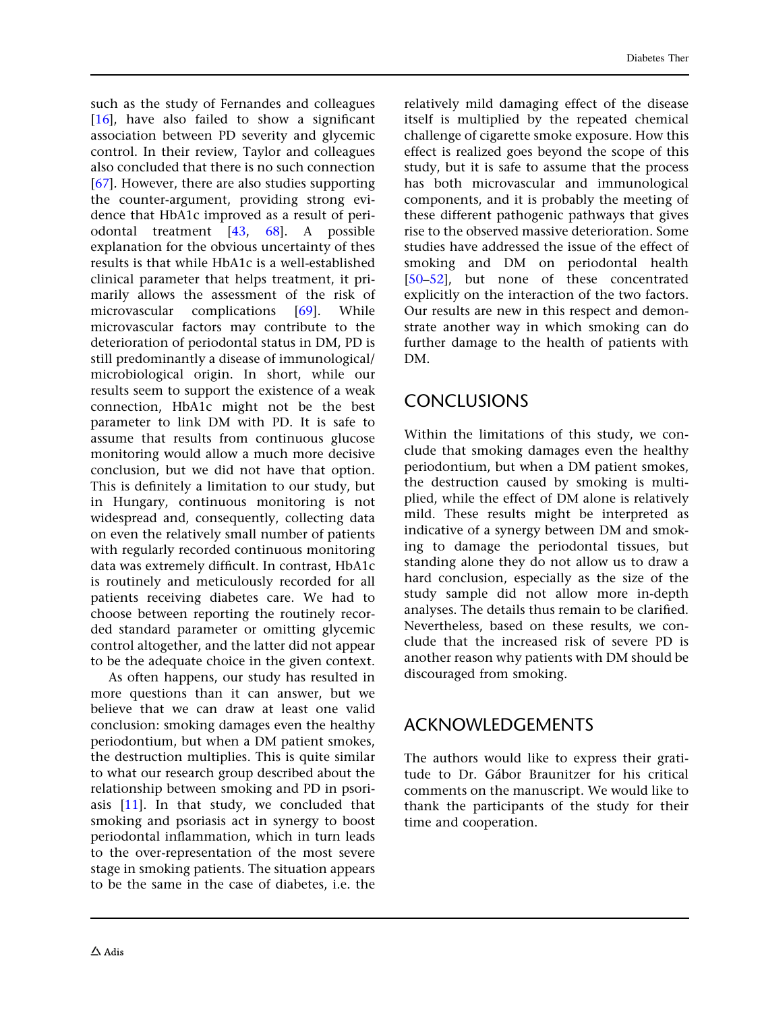such as the study of Fernandes and colleagues [\[16\]](#page-11-0), have also failed to show a significant association between PD severity and glycemic control. In their review, Taylor and colleagues also concluded that there is no such connection [\[67\]](#page-13-0). However, there are also studies supporting the counter-argument, providing strong evidence that HbA1c improved as a result of periodontal treatment [[43](#page-12-0), [68\]](#page-13-0). A possible explanation for the obvious uncertainty of thes results is that while HbA1c is a well-established clinical parameter that helps treatment, it primarily allows the assessment of the risk of microvascular complications [\[69\]](#page-13-0). While microvascular factors may contribute to the deterioration of periodontal status in DM, PD is still predominantly a disease of immunological/ microbiological origin. In short, while our results seem to support the existence of a weak connection, HbA1c might not be the best parameter to link DM with PD. It is safe to assume that results from continuous glucose monitoring would allow a much more decisive conclusion, but we did not have that option. This is definitely a limitation to our study, but in Hungary, continuous monitoring is not widespread and, consequently, collecting data on even the relatively small number of patients with regularly recorded continuous monitoring data was extremely difficult. In contrast, HbA1c is routinely and meticulously recorded for all patients receiving diabetes care. We had to choose between reporting the routinely recorded standard parameter or omitting glycemic control altogether, and the latter did not appear to be the adequate choice in the given context.

As often happens, our study has resulted in more questions than it can answer, but we believe that we can draw at least one valid conclusion: smoking damages even the healthy periodontium, but when a DM patient smokes, the destruction multiplies. This is quite similar to what our research group described about the relationship between smoking and PD in psoriasis  $[11]$ . In that study, we concluded that smoking and psoriasis act in synergy to boost periodontal inflammation, which in turn leads to the over-representation of the most severe stage in smoking patients. The situation appears to be the same in the case of diabetes, i.e. the

relatively mild damaging effect of the disease itself is multiplied by the repeated chemical challenge of cigarette smoke exposure. How this effect is realized goes beyond the scope of this study, but it is safe to assume that the process has both microvascular and immunological components, and it is probably the meeting of these different pathogenic pathways that gives rise to the observed massive deterioration. Some studies have addressed the issue of the effect of smoking and DM on periodontal health [\[50–52](#page-12-0)], but none of these concentrated explicitly on the interaction of the two factors. Our results are new in this respect and demonstrate another way in which smoking can do further damage to the health of patients with DM.

## **CONCLUSIONS**

Within the limitations of this study, we conclude that smoking damages even the healthy periodontium, but when a DM patient smokes, the destruction caused by smoking is multiplied, while the effect of DM alone is relatively mild. These results might be interpreted as indicative of a synergy between DM and smoking to damage the periodontal tissues, but standing alone they do not allow us to draw a hard conclusion, especially as the size of the study sample did not allow more in-depth analyses. The details thus remain to be clarified. Nevertheless, based on these results, we conclude that the increased risk of severe PD is another reason why patients with DM should be discouraged from smoking.

## ACKNOWLEDGEMENTS

The authors would like to express their gratitude to Dr. Gábor Braunitzer for his critical comments on the manuscript. We would like to thank the participants of the study for their time and cooperation.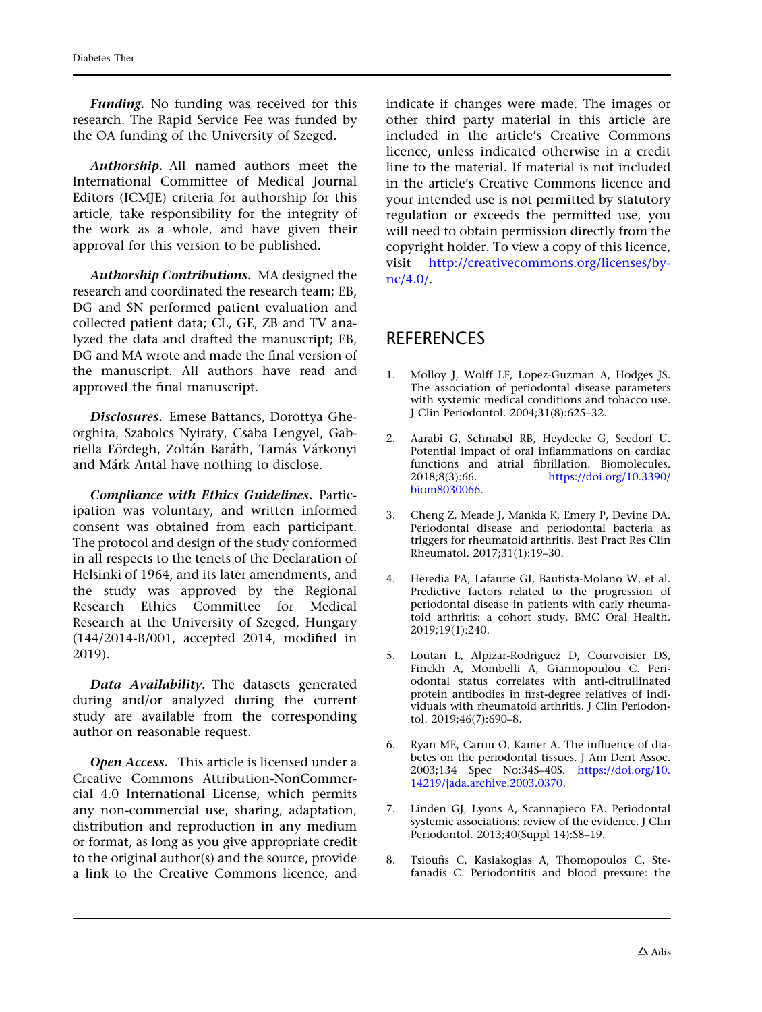<span id="page-10-0"></span>Funding. No funding was received for this research. The Rapid Service Fee was funded by the OA funding of the University of Szeged.

Authorship. All named authors meet the International Committee of Medical Journal Editors (ICMJE) criteria for authorship for this article, take responsibility for the integrity of the work as a whole, and have given their approval for this version to be published.

Authorship Contributions. MA designed the research and coordinated the research team; EB, DG and SN performed patient evaluation and collected patient data; CL, GE, ZB and TV analyzed the data and drafted the manuscript; EB, DG and MA wrote and made the final version of the manuscript. All authors have read and approved the final manuscript.

Disclosures. Emese Battancs, Dorottya Gheorghita, Szabolcs Nyiraty, Csaba Lengyel, Gabriella Eördegh, Zoltán Baráth, Tamás Várkonyi and Márk Antal have nothing to disclose.

Compliance with Ethics Guidelines. Participation was voluntary, and written informed consent was obtained from each participant. The protocol and design of the study conformed in all respects to the tenets of the Declaration of Helsinki of 1964, and its later amendments, and the study was approved by the Regional Research Ethics Committee for Medical Research at the University of Szeged, Hungary (144/2014-B/001, accepted 2014, modified in 2019).

Data Availability. The datasets generated during and/or analyzed during the current study are available from the corresponding author on reasonable request.

Open Access. This article is licensed under a Creative Commons Attribution-NonCommercial 4.0 International License, which permits any non-commercial use, sharing, adaptation, distribution and reproduction in any medium or format, as long as you give appropriate credit to the original author(s) and the source, provide a link to the Creative Commons licence, and

indicate if changes were made. The images or other third party material in this article are included in the article's Creative Commons licence, unless indicated otherwise in a credit line to the material. If material is not included in the article's Creative Commons licence and your intended use is not permitted by statutory regulation or exceeds the permitted use, you will need to obtain permission directly from the copyright holder. To view a copy of this licence, visit [http://creativecommons.org/licenses/by](http://creativecommons.org/licenses/by-nc/4.0/)[nc/4.0/](http://creativecommons.org/licenses/by-nc/4.0/).

## **REFERENCES**

- 1. Molloy J, Wolff LF, Lopez-Guzman A, Hodges JS. The association of periodontal disease parameters with systemic medical conditions and tobacco use. J Clin Periodontol. 2004;31(8):625–32.
- 2. Aarabi G, Schnabel RB, Heydecke G, Seedorf U. Potential impact of oral inflammations on cardiac functions and atrial fibrillation. Biomolecules. 2018;8(3):66. [https://doi.org/10.3390/](https://doi.org/10.3390/biom8030066) [biom8030066.](https://doi.org/10.3390/biom8030066)
- 3. Cheng Z, Meade J, Mankia K, Emery P, Devine DA. Periodontal disease and periodontal bacteria as triggers for rheumatoid arthritis. Best Pract Res Clin Rheumatol. 2017;31(1):19–30.
- 4. Heredia PA, Lafaurie GI, Bautista-Molano W, et al. Predictive factors related to the progression of periodontal disease in patients with early rheumatoid arthritis: a cohort study. BMC Oral Health. 2019;19(1):240.
- 5. Loutan L, Alpizar-Rodriguez D, Courvoisier DS, Finckh A, Mombelli A, Giannopoulou C. Periodontal status correlates with anti-citrullinated protein antibodies in first-degree relatives of individuals with rheumatoid arthritis. J Clin Periodontol. 2019;46(7):690–8.
- 6. Ryan ME, Carnu O, Kamer A. The influence of diabetes on the periodontal tissues. J Am Dent Assoc. 2003;134 Spec No:34S–40S. [https://doi.org/10.](https://doi.org/10.14219/jada.archive.2003.0370) [14219/jada.archive.2003.0370](https://doi.org/10.14219/jada.archive.2003.0370).
- 7. Linden GJ, Lyons A, Scannapieco FA. Periodontal systemic associations: review of the evidence. J Clin Periodontol. 2013;40(Suppl 14):S8–19.
- 8. Tsioufis C, Kasiakogias A, Thomopoulos C, Stefanadis C. Periodontitis and blood pressure: the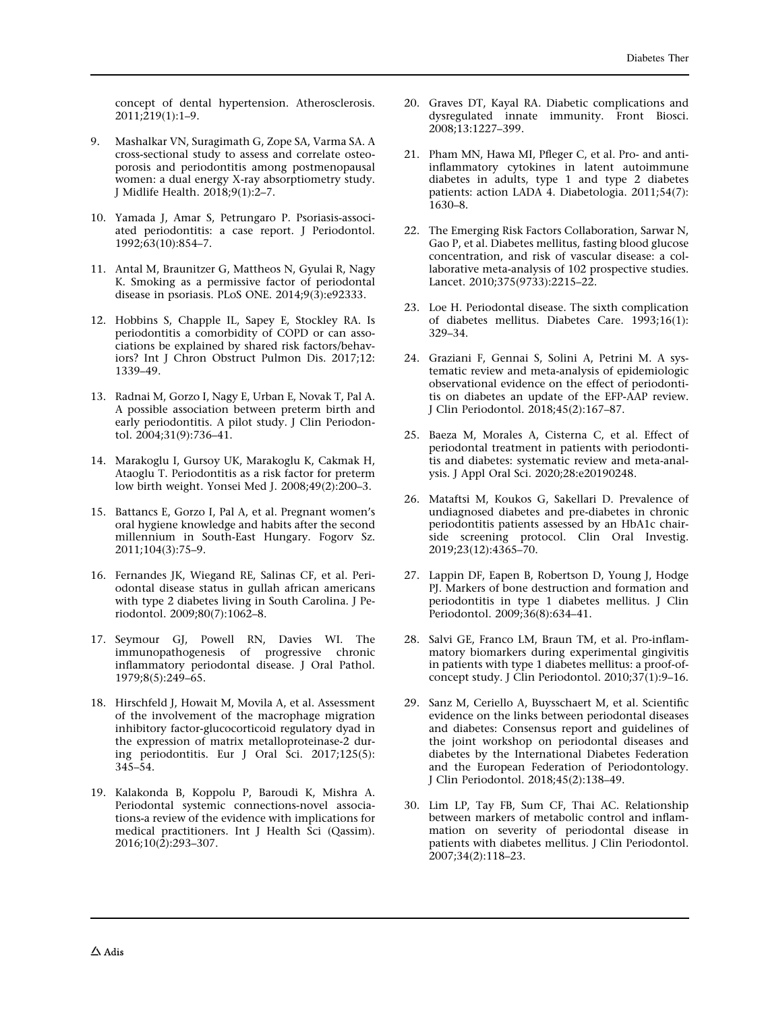<span id="page-11-0"></span>concept of dental hypertension. Atherosclerosis. 2011;219(1):1–9.

- 9. Mashalkar VN, Suragimath G, Zope SA, Varma SA. A cross-sectional study to assess and correlate osteoporosis and periodontitis among postmenopausal women: a dual energy X-ray absorptiometry study. J Midlife Health. 2018;9(1):2–7.
- 10. Yamada J, Amar S, Petrungaro P. Psoriasis-associated periodontitis: a case report. J Periodontol. 1992;63(10):854–7.
- 11. Antal M, Braunitzer G, Mattheos N, Gyulai R, Nagy K. Smoking as a permissive factor of periodontal disease in psoriasis. PLoS ONE. 2014;9(3):e92333.
- 12. Hobbins S, Chapple IL, Sapey E, Stockley RA. Is periodontitis a comorbidity of COPD or can associations be explained by shared risk factors/behaviors? Int J Chron Obstruct Pulmon Dis. 2017;12: 1339–49.
- 13. Radnai M, Gorzo I, Nagy E, Urban E, Novak T, Pal A. A possible association between preterm birth and early periodontitis. A pilot study. J Clin Periodontol. 2004;31(9):736–41.
- 14. Marakoglu I, Gursoy UK, Marakoglu K, Cakmak H, Ataoglu T. Periodontitis as a risk factor for preterm low birth weight. Yonsei Med J. 2008;49(2):200–3.
- 15. Battancs E, Gorzo I, Pal A, et al. Pregnant women's oral hygiene knowledge and habits after the second millennium in South-East Hungary. Fogorv Sz. 2011;104(3):75–9.
- 16. Fernandes JK, Wiegand RE, Salinas CF, et al. Periodontal disease status in gullah african americans with type 2 diabetes living in South Carolina. J Periodontol. 2009;80(7):1062–8.
- 17. Seymour GJ, Powell RN, Davies WI. The immunopathogenesis of progressive chronic inflammatory periodontal disease. J Oral Pathol. 1979;8(5):249–65.
- 18. Hirschfeld J, Howait M, Movila A, et al. Assessment of the involvement of the macrophage migration inhibitory factor-glucocorticoid regulatory dyad in the expression of matrix metalloproteinase-2 during periodontitis. Eur J Oral Sci. 2017;125(5): 345–54.
- 19. Kalakonda B, Koppolu P, Baroudi K, Mishra A. Periodontal systemic connections-novel associations-a review of the evidence with implications for medical practitioners. Int J Health Sci (Qassim).  $2016; 10(2): 293-307.$
- 20. Graves DT, Kayal RA. Diabetic complications and dysregulated innate immunity. Front Biosci. 2008;13:1227–399.
- 21. Pham MN, Hawa MI, Pfleger C, et al. Pro- and antiinflammatory cytokines in latent autoimmune diabetes in adults, type 1 and type 2 diabetes patients: action LADA 4. Diabetologia. 2011;54(7): 1630–8.
- 22. The Emerging Risk Factors Collaboration, Sarwar N, Gao P, et al. Diabetes mellitus, fasting blood glucose concentration, and risk of vascular disease: a collaborative meta-analysis of 102 prospective studies. Lancet. 2010;375(9733):2215–22.
- 23. Loe H. Periodontal disease. The sixth complication of diabetes mellitus. Diabetes Care. 1993;16(1): 329–34.
- 24. Graziani F, Gennai S, Solini A, Petrini M. A systematic review and meta-analysis of epidemiologic observational evidence on the effect of periodontitis on diabetes an update of the EFP-AAP review. J Clin Periodontol. 2018;45(2):167–87.
- 25. Baeza M, Morales A, Cisterna C, et al. Effect of periodontal treatment in patients with periodontitis and diabetes: systematic review and meta-analysis. J Appl Oral Sci. 2020;28:e20190248.
- 26. Mataftsi M, Koukos G, Sakellari D. Prevalence of undiagnosed diabetes and pre-diabetes in chronic periodontitis patients assessed by an HbA1c chairside screening protocol. Clin Oral Investig. 2019;23(12):4365–70.
- 27. Lappin DF, Eapen B, Robertson D, Young J, Hodge PJ. Markers of bone destruction and formation and periodontitis in type 1 diabetes mellitus. J Clin Periodontol. 2009;36(8):634–41.
- 28. Salvi GE, Franco LM, Braun TM, et al. Pro-inflammatory biomarkers during experimental gingivitis in patients with type 1 diabetes mellitus: a proof-ofconcept study. J Clin Periodontol. 2010;37(1):9–16.
- 29. Sanz M, Ceriello A, Buysschaert M, et al. Scientific evidence on the links between periodontal diseases and diabetes: Consensus report and guidelines of the joint workshop on periodontal diseases and diabetes by the International Diabetes Federation and the European Federation of Periodontology. J Clin Periodontol. 2018;45(2):138–49.
- 30. Lim LP, Tay FB, Sum CF, Thai AC. Relationship between markers of metabolic control and inflammation on severity of periodontal disease in patients with diabetes mellitus. J Clin Periodontol. 2007;34(2):118–23.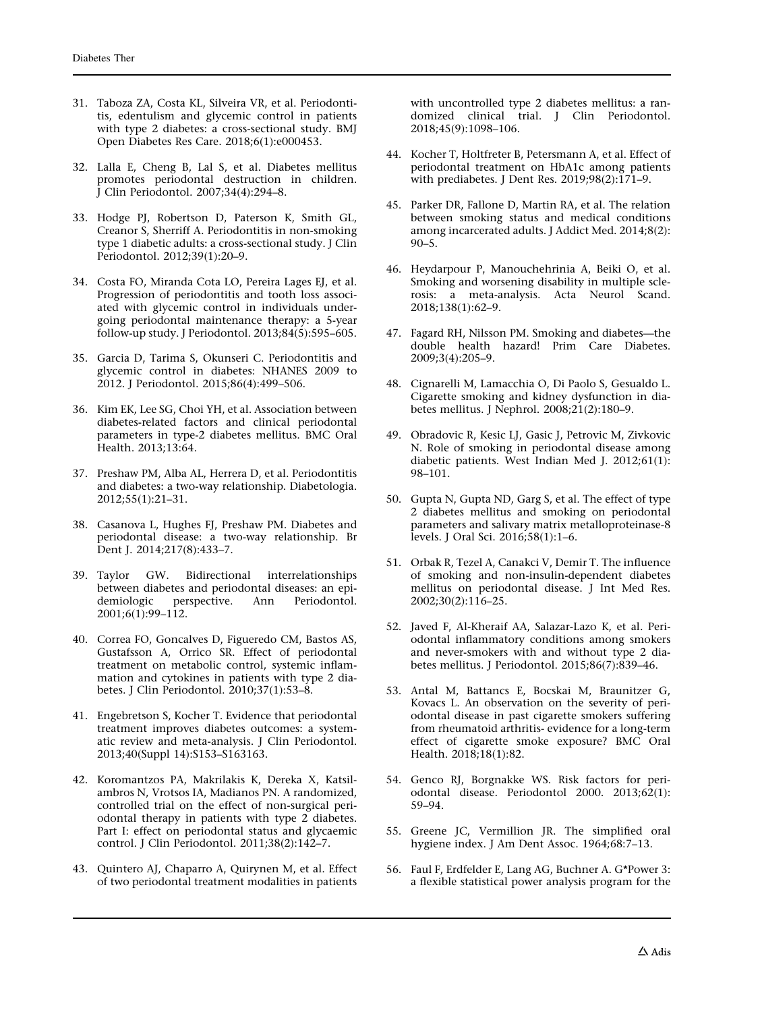- <span id="page-12-0"></span>31. Taboza ZA, Costa KL, Silveira VR, et al. Periodontitis, edentulism and glycemic control in patients with type 2 diabetes: a cross-sectional study. BMJ Open Diabetes Res Care. 2018;6(1):e000453.
- 32. Lalla E, Cheng B, Lal S, et al. Diabetes mellitus promotes periodontal destruction in children. J Clin Periodontol. 2007;34(4):294–8.
- 33. Hodge PJ, Robertson D, Paterson K, Smith GL, Creanor S, Sherriff A. Periodontitis in non-smoking type 1 diabetic adults: a cross-sectional study. J Clin Periodontol. 2012;39(1):20–9.
- 34. Costa FO, Miranda Cota LO, Pereira Lages EJ, et al. Progression of periodontitis and tooth loss associated with glycemic control in individuals undergoing periodontal maintenance therapy: a 5-year follow-up study. J Periodontol. 2013;84(5):595–605.
- 35. Garcia D, Tarima S, Okunseri C. Periodontitis and glycemic control in diabetes: NHANES 2009 to 2012. J Periodontol. 2015;86(4):499–506.
- 36. Kim EK, Lee SG, Choi YH, et al. Association between diabetes-related factors and clinical periodontal parameters in type-2 diabetes mellitus. BMC Oral Health. 2013;13:64.
- 37. Preshaw PM, Alba AL, Herrera D, et al. Periodontitis and diabetes: a two-way relationship. Diabetologia. 2012;55(1):21–31.
- 38. Casanova L, Hughes FJ, Preshaw PM. Diabetes and periodontal disease: a two-way relationship. Br Dent J. 2014;217(8):433–7.
- 39. Taylor GW. Bidirectional interrelationships between diabetes and periodontal diseases: an epi-<br>demiologic perspective. Ann Periodontol. perspective. Ann 2001;6(1):99–112.
- 40. Correa FO, Goncalves D, Figueredo CM, Bastos AS, Gustafsson A, Orrico SR. Effect of periodontal treatment on metabolic control, systemic inflammation and cytokines in patients with type 2 diabetes. J Clin Periodontol. 2010;37(1):53–8.
- 41. Engebretson S, Kocher T. Evidence that periodontal treatment improves diabetes outcomes: a systematic review and meta-analysis. J Clin Periodontol. 2013;40(Suppl 14):S153–S163163.
- 42. Koromantzos PA, Makrilakis K, Dereka X, Katsilambros N, Vrotsos IA, Madianos PN. A randomized, controlled trial on the effect of non-surgical periodontal therapy in patients with type 2 diabetes. Part I: effect on periodontal status and glycaemic control. J Clin Periodontol. 2011;38(2):142–7.
- 43. Quintero AJ, Chaparro A, Quirynen M, et al. Effect of two periodontal treatment modalities in patients

with uncontrolled type 2 diabetes mellitus: a randomized clinical trial. J Clin Periodontol. 2018;45(9):1098–106.

- 44. Kocher T, Holtfreter B, Petersmann A, et al. Effect of periodontal treatment on HbA1c among patients with prediabetes. J Dent Res.  $2019;98(2):171-9$ .
- 45. Parker DR, Fallone D, Martin RA, et al. The relation between smoking status and medical conditions among incarcerated adults. J Addict Med. 2014;8(2): 90–5.
- 46. Heydarpour P, Manouchehrinia A, Beiki O, et al. Smoking and worsening disability in multiple sclerosis: a meta-analysis. Acta Neurol Scand. 2018;138(1):62–9.
- 47. Fagard RH, Nilsson PM. Smoking and diabetes—the double health hazard! Prim Care Diabetes. 2009;3(4):205–9.
- 48. Cignarelli M, Lamacchia O, Di Paolo S, Gesualdo L. Cigarette smoking and kidney dysfunction in diabetes mellitus. J Nephrol. 2008;21(2):180–9.
- 49. Obradovic R, Kesic LJ, Gasic J, Petrovic M, Zivkovic N. Role of smoking in periodontal disease among diabetic patients. West Indian Med J. 2012;61(1): 98–101.
- 50. Gupta N, Gupta ND, Garg S, et al. The effect of type 2 diabetes mellitus and smoking on periodontal parameters and salivary matrix metalloproteinase-8 levels. J Oral Sci. 2016;58(1):1–6.
- 51. Orbak R, Tezel A, Canakci V, Demir T. The influence of smoking and non-insulin-dependent diabetes mellitus on periodontal disease. J Int Med Res. 2002;30(2):116–25.
- 52. Javed F, Al-Kheraif AA, Salazar-Lazo K, et al. Periodontal inflammatory conditions among smokers and never-smokers with and without type 2 diabetes mellitus. J Periodontol. 2015;86(7):839–46.
- 53. Antal M, Battancs E, Bocskai M, Braunitzer G, Kovacs L. An observation on the severity of periodontal disease in past cigarette smokers suffering from rheumatoid arthritis- evidence for a long-term effect of cigarette smoke exposure? BMC Oral Health. 2018;18(1):82.
- 54. Genco RJ, Borgnakke WS. Risk factors for periodontal disease. Periodontol 2000. 2013;62(1): 59–94.
- 55. Greene JC, Vermillion JR. The simplified oral hygiene index. J Am Dent Assoc. 1964;68:7–13.
- 56. Faul F, Erdfelder E, Lang AG, Buchner A. G\*Power 3: a flexible statistical power analysis program for the